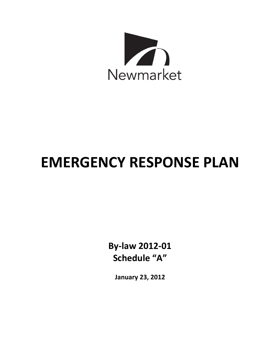

# **EMERGENCY RESPONSE PLAN**

**By-law 2012-01 Schedule "A"**

**January 23, 2012**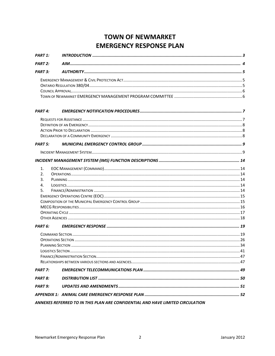# **TOWN OF NEWMARKET EMERGENCY RESPONSE PLAN**

| <b>PART 1:</b>     |                                                                                |  |
|--------------------|--------------------------------------------------------------------------------|--|
| PART 2:            |                                                                                |  |
| PART 3:            | AUTHORITY                                                                      |  |
|                    |                                                                                |  |
|                    |                                                                                |  |
|                    |                                                                                |  |
|                    |                                                                                |  |
| PART <sub>4:</sub> |                                                                                |  |
|                    |                                                                                |  |
|                    |                                                                                |  |
|                    |                                                                                |  |
|                    |                                                                                |  |
| PART 5:            |                                                                                |  |
|                    |                                                                                |  |
|                    |                                                                                |  |
| 1.                 |                                                                                |  |
| 2.                 |                                                                                |  |
| 3.                 |                                                                                |  |
| 4.                 |                                                                                |  |
| 5.                 |                                                                                |  |
|                    |                                                                                |  |
|                    |                                                                                |  |
|                    |                                                                                |  |
|                    |                                                                                |  |
|                    |                                                                                |  |
| PART <sub>6:</sub> |                                                                                |  |
|                    |                                                                                |  |
|                    |                                                                                |  |
|                    |                                                                                |  |
|                    |                                                                                |  |
|                    |                                                                                |  |
|                    |                                                                                |  |
| PART 7:            |                                                                                |  |
| PART 8:            |                                                                                |  |
| PART 9:            |                                                                                |  |
|                    |                                                                                |  |
|                    | ANNEXES REFERRED TO IN THIS PLAN ARE CONFIDENTIAL AND HAVE LIMITED CIRCULATION |  |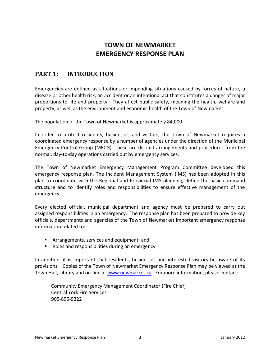# **TOWN OF NEWMARKET EMERGENCY RESPONSE PLAN**

# <span id="page-2-0"></span>**PART 1: INTRODUCTION**

Emergencies are defined as situations or impending situations caused by forces of nature, a disease or other health risk, an accident or an intentional act that constitutes a danger of major proportions to life and property. They affect public safety, meaning the health, welfare and property, as well as the environment and economic health of the Town of Newmarket.

The population of the Town of Newmarket is approximately 84,000.

In order to protect residents, businesses and visitors, the Town of Newmarket requires a coordinated emergency response by a number of agencies under the direction of the Municipal Emergency Control Group (MECG). These are distinct arrangements and procedures from the normal, day-to-day operations carried out by emergency services.

The Town of Newmarket Emergency Management Program Committee developed this emergency response plan. The Incident Management System (IMS) has been adopted in this plan to coordinate with the Regional and Provincial IMS planning, define the basic command structure and to identify roles and responsibilities to ensure effective management of the emergency.

Every elected official, municipal department and agency must be prepared to carry out assigned responsibilities in an emergency. The response plan has been prepared to provide key officials, departments and agencies of the Town of Newmarket important emergency response information related to:

- **F** Arrangements, services and equipment; and
- Roles and responsibilities during an emergency.

In addition, it is important that residents, businesses and interested visitors be aware of its provisions. Copies of the Town of Newmarket Emergency Response Plan may be viewed at the Town Hall, Library and on-line at [www.newmarket.ca.](http://www.newmarket.ca/) For more information, please contact:

Community Emergency Management Coordinator (Fire Chief) Central York Fire Services 905-895-9222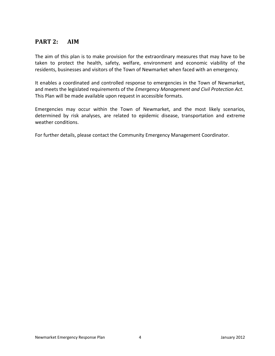# <span id="page-3-0"></span>**PART 2: AIM**

The aim of this plan is to make provision for the extraordinary measures that may have to be taken to protect the health, safety, welfare, environment and economic viability of the residents, businesses and visitors of the Town of Newmarket when faced with an emergency.

It enables a coordinated and controlled response to emergencies in the Town of Newmarket, and meets the legislated requirements of the *Emergency Management and Civil Protection Act.* This Plan will be made available upon request in accessible formats.

Emergencies may occur within the Town of Newmarket, and the most likely scenarios, determined by risk analyses, are related to epidemic disease, transportation and extreme weather conditions.

For further details, please contact the Community Emergency Management Coordinator.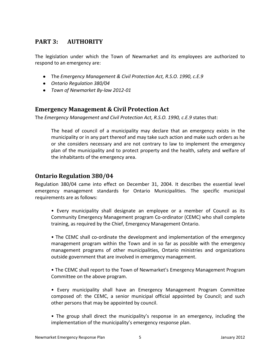# <span id="page-4-0"></span>**PART 3: AUTHORITY**

The legislation under which the Town of Newmarket and its employees are authorized to respond to an emergency are:

- The *Emergency Management & Civil Protection Act, R.S.O. 1990, c.E.9*
- *Ontario Regulation 380/04*
- *Town of Newmarket By-law 2012-01*

## <span id="page-4-1"></span>**Emergency Management & Civil Protection Act**

The *Emergency Management and Civil Protection Act, R.S.O. 1990, c.E.9* states that:

The head of council of a municipality may declare that an emergency exists in the municipality or in any part thereof and may take such action and make such orders as he or she considers necessary and are not contrary to law to implement the emergency plan of the municipality and to protect property and the health, safety and welfare of the inhabitants of the emergency area.

## <span id="page-4-2"></span>**Ontario Regulation 380/04**

Regulation 380/04 came into effect on December 31, 2004. It describes the essential level emergency management standards for Ontario Municipalities. The specific municipal requirements are as follows:

• Every municipality shall designate an employee or a member of Council as its Community Emergency Management program Co-ordinator (CEMC) who shall complete training, as required by the Chief, Emergency Management Ontario.

• The CEMC shall co-ordinate the development and implementation of the emergency management program within the Town and in so far as possible with the emergency management programs of other municipalities, Ontario ministries and organizations outside government that are involved in emergency management.

• The CEMC shall report to the Town of Newmarket's Emergency Management Program Committee on the above program.

• Every municipality shall have an Emergency Management Program Committee composed of: the CEMC, a senior municipal official appointed by Council; and such other persons that may be appointed by council.

• The group shall direct the municipality's response in an emergency, including the implementation of the municipality's emergency response plan.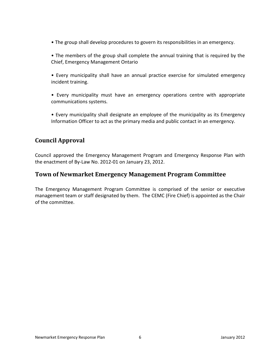- The group shall develop procedures to govern its responsibilities in an emergency.
- The members of the group shall complete the annual training that is required by the Chief, Emergency Management Ontario
- Every municipality shall have an annual practice exercise for simulated emergency incident training.
- Every municipality must have an emergency operations centre with appropriate communications systems.
- Every municipality shall designate an employee of the municipality as its Emergency Information Officer to act as the primary media and public contact in an emergency.

## **Council Approval**

Council approved the Emergency Management Program and Emergency Response Plan with the enactment of By-Law No. 2012-01 on January 23, 2012.

#### **Town of Newmarket Emergency Management Program Committee**

The Emergency Management Program Committee is comprised of the senior or executive management team or staff designated by them. The CEMC (Fire Chief) is appointed as the Chair of the committee.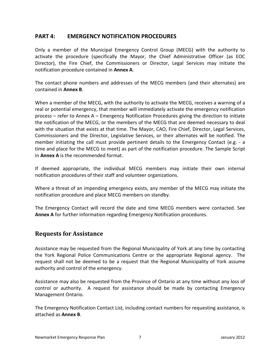#### <span id="page-6-0"></span>**PART 4: EMERGENCY NOTIFICATION PROCEDURES**

Only a member of the Municipal Emergency Control Group (MECG) with the authority to activate the procedure (specifically the Mayor, the Chief Administrative Officer (as EOC Director), the Fire Chief, the Commissioners or Director, Legal Services may initiate the notification procedure contained in **Annex A**.

The contact phone numbers and addresses of the MECG members (and their alternates) are contained in **Annex B**.

When a member of the MECG, with the authority to activate the MECG, receives a warning of a real or potential emergency, that member will immediately activate the emergency notification process – refer to Annex A – Emergency Notification Procedures giving the direction to initiate the notification of the MECG, or the members of the MECG that are deemed necessary to deal with the situation that exists at that time. The Mayor, CAO, Fire Chief, Director, Legal Services, Commissioners and the Director, Legislative Services, or their alternates will be notified. The member initiating the call must provide pertinent details to the Emergency Contact (e.g. - a time and place for the MECG to meet) as part of the notification procedure. The Sample Script in **Annex A** is the recommended format.

If deemed appropriate, the individual MECG members may initiate their own internal notification procedures of their staff and volunteer organizations.

Where a threat of an impending emergency exists, any member of the MECG may initiate the notification procedure and place MECG members on standby.

The Emergency Contact will record the date and time MECG members were contacted. See **Annex A** for further information regarding Emergency Notification procedures.

## <span id="page-6-1"></span>**Requests for Assistance**

Assistance may be requested from the Regional Municipality of York at any time by contacting the York Regional Police Communications Centre or the appropriate Regional agency. The request shall not be deemed to be a request that the Regional Municipality of York assume authority and control of the emergency.

Assistance may also be requested from the Province of Ontario at any time without any loss of control or authority. A request for assistance should be made by contacting Emergency Management Ontario.

The Emergency Notification Contact List, including contact numbers for requesting assistance, is attached as **Annex B**.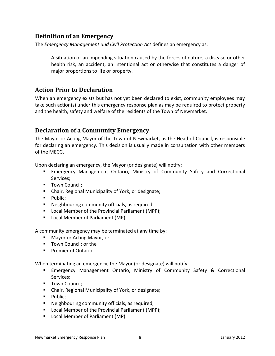## <span id="page-7-0"></span>**Definition of an Emergency**

The *Emergency Management and Civil Protection Act* defines an emergency as:

A situation or an impending situation caused by the forces of nature, a disease or other health risk, an accident, an intentional act or otherwise that constitutes a danger of major proportions to life or property.

## <span id="page-7-1"></span>**Action Prior to Declaration**

When an emergency exists but has not yet been declared to exist, community employees may take such action(s) under this emergency response plan as may be required to protect property and the health, safety and welfare of the residents of the Town of Newmarket.

## <span id="page-7-2"></span>**Declaration of a Community Emergency**

The Mayor or Acting Mayor of the Town of Newmarket, as the Head of Council, is responsible for declaring an emergency. This decision is usually made in consultation with other members of the MECG.

Upon declaring an emergency, the Mayor (or designate) will notify:

- Emergency Management Ontario, Ministry of Community Safety and Correctional Services;
- **Town Council:**
- Chair, Regional Municipality of York, or designate;
- $\n **P while**$
- Neighbouring community officials, as required;
- Local Member of the Provincial Parliament (MPP);
- **Local Member of Parliament (MP).**

A community emergency may be terminated at any time by:

- Mayor or Acting Mayor; or
- Town Council: or the
- **Premier of Ontario.**

When terminating an emergency, the Mayor (or designate) will notify:

- **Emergency Management Ontario, Ministry of Community Safety & Correctional** Services;
- **Town Council:**
- Chair, Regional Municipality of York, or designate;
- $\n **P while**:$
- **Neighbouring community officials, as required;**
- Local Member of the Provincial Parliament (MPP);
- Local Member of Parliament (MP).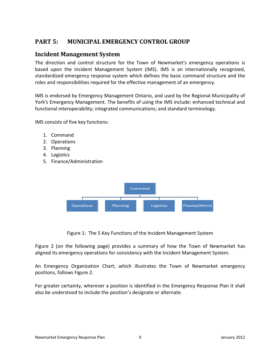# <span id="page-8-0"></span>**PART 5: MUNICIPAL EMERGENCY CONTROL GROUP**

#### <span id="page-8-1"></span>**Incident Management System**

The direction and control structure for the Town of Newmarket's emergency operations is based upon the Incident Management System (IMS). IMS is an internationally recognized, standardized emergency response system which defines the basic command structure and the roles and responsibilities required for the effective management of an emergency.

IMS is endorsed by Emergency Management Ontario, and used by the Regional Municipality of York's Emergency Management. The benefits of using the IMS include: enhanced technical and functional interoperability; integrated communications; and standard terminology.

IMS consists of five key functions:

- 1. Command
- 2. Operations
- 3. Planning
- 4. Logistics
- 5. Finance/Administration



Figure 1: The 5 Key Functions of the Incident Management System

Figure 2 (on the following page) provides a summary of how the Town of Newmarket has aligned its emergency operations for consistency with the Incident Management System.

An Emergency Organization Chart, which illustrates the Town of Newmarket emergency positions, follows Figure 2.

For greater certainty, wherever a position is identified in the Emergency Response Plan it shall also be understood to include the position's designate or alternate.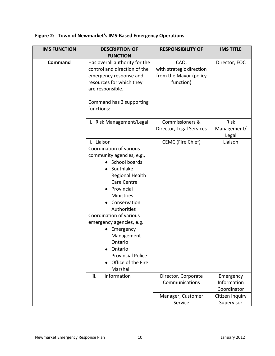**Figure 2: Town of Newmarket's IMS-Based Emergency Operations** 

| <b>IMS FUNCTION</b> | <b>DESCRIPTION OF</b>                                                                                                                                                                                                                                                                                                                                                                       | <b>RESPONSIBILITY OF</b>                                                | <b>IMS TITLE</b>                        |
|---------------------|---------------------------------------------------------------------------------------------------------------------------------------------------------------------------------------------------------------------------------------------------------------------------------------------------------------------------------------------------------------------------------------------|-------------------------------------------------------------------------|-----------------------------------------|
|                     | <b>FUNCTION</b>                                                                                                                                                                                                                                                                                                                                                                             |                                                                         |                                         |
| Command             | Has overall authority for the<br>control and direction of the<br>emergency response and<br>resources for which they<br>are responsible.<br>Command has 3 supporting<br>functions:                                                                                                                                                                                                           | CAO,<br>with strategic direction<br>from the Mayor (policy<br>function) | Director, EOC                           |
|                     | i. Risk Management/Legal                                                                                                                                                                                                                                                                                                                                                                    | <b>Commissioners &amp;</b><br>Director, Legal Services                  | Risk<br>Management/<br>Legal            |
|                     | ii. Liaison<br>Coordination of various<br>community agencies, e.g.,<br>• School boards<br>Southlake<br>$\bullet$<br>Regional Health<br><b>Care Centre</b><br>Provincial<br>Ministries<br>Conservation<br>Authorities<br>Coordination of various<br>emergency agencies, e.g.<br>• Emergency<br>Management<br>Ontario<br>Ontario<br><b>Provincial Police</b><br>Office of the Fire<br>Marshal | CEMC (Fire Chief)                                                       | Liaison                                 |
|                     | iii.<br>Information                                                                                                                                                                                                                                                                                                                                                                         | Director, Corporate<br>Communications                                   | Emergency<br>Information<br>Coordinator |
|                     |                                                                                                                                                                                                                                                                                                                                                                                             | Manager, Customer<br>Service                                            | Citizen Inquiry<br>Supervisor           |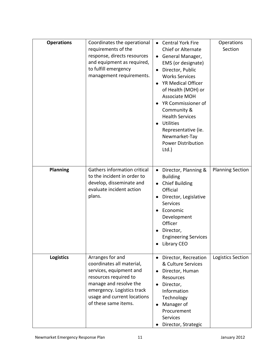| <b>Operations</b> | Coordinates the operational<br>requirements of the<br>response, directs resources<br>and equipment as required,<br>to fulfill emergency<br>management requirements.                                              | • Central York Fire<br>Chief or Alternate<br>General Manager,<br>$\bullet$<br>EMS (or designate)<br>Director, Public<br>$\bullet$<br><b>Works Services</b><br>YR Medical Officer<br>$\bullet$<br>of Health (MOH) or<br><b>Associate MOH</b><br>YR Commissioner of<br>$\bullet$<br>Community &<br><b>Health Services</b><br><b>Utilities</b><br>$\bullet$<br>Representative (ie.<br>Newmarket-Tay<br><b>Power Distribution</b><br>$Ltd.$ ) | Operations<br>Section   |
|-------------------|------------------------------------------------------------------------------------------------------------------------------------------------------------------------------------------------------------------|-------------------------------------------------------------------------------------------------------------------------------------------------------------------------------------------------------------------------------------------------------------------------------------------------------------------------------------------------------------------------------------------------------------------------------------------|-------------------------|
| <b>Planning</b>   | Gathers information critical<br>to the incident in order to<br>develop, disseminate and<br>evaluate incident action<br>plans.                                                                                    | Director, Planning &<br>$\bullet$<br><b>Building</b><br><b>Chief Building</b><br>$\bullet$<br>Official<br>Director, Legislative<br>$\bullet$<br>Services<br>Economic<br>Development<br>Officer<br>Director,<br><b>Engineering Services</b><br>Library CEO                                                                                                                                                                                 | <b>Planning Section</b> |
| <b>Logistics</b>  | Arranges for and<br>coordinates all material,<br>services, equipment and<br>resources required to<br>manage and resolve the<br>emergency. Logistics track<br>usage and current locations<br>of these same items. | Director, Recreation<br>$\bullet$<br>& Culture Services<br>Director, Human<br>$\bullet$<br>Resources<br>Director,<br>$\bullet$<br>Information<br>Technology<br>Manager of<br>$\bullet$<br>Procurement<br>Services<br>Director, Strategic                                                                                                                                                                                                  | Logistics Section       |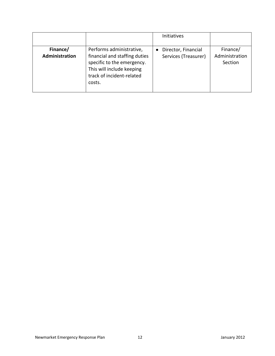|                            |                                                                                                                                                             | Initiatives                                 |                                       |
|----------------------------|-------------------------------------------------------------------------------------------------------------------------------------------------------------|---------------------------------------------|---------------------------------------|
| Finance/<br>Administration | Performs administrative,<br>financial and staffing duties<br>specific to the emergency.<br>This will include keeping<br>track of incident-related<br>costs. | Director, Financial<br>Services (Treasurer) | Finance/<br>Administration<br>Section |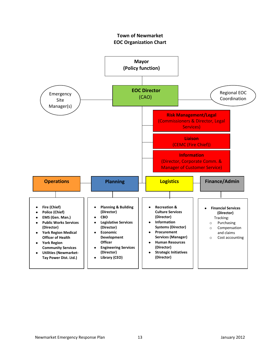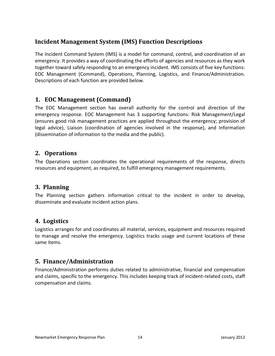# <span id="page-13-0"></span>**Incident Management System (IMS) Function Descriptions**

The Incident Command System (IMS) is a model for command, control, and coordination of an emergency. It provides a way of coordinating the efforts of agencies and resources as they work together toward safely responding to an emergency incident. IMS consists of five key functions: EOC Management (Command), Operations, Planning, Logistics, and Finance/Administration. Descriptions of each function are provided below.

## <span id="page-13-1"></span>**1. EOC Management (Command)**

The EOC Management section has overall authority for the control and direction of the emergency response. EOC Management has 3 supporting functions: Risk Management/Legal (ensures good risk management practices are applied throughout the emergency; provision of legal advice), Liaison (coordination of agencies involved in the response), and Information (dissemination of information to the media and the public).

## <span id="page-13-2"></span>**2. Operations**

The Operations section coordinates the operational requirements of the response, directs resources and equipment, as required, to fulfill emergency management requirements.

## <span id="page-13-3"></span>**3. Planning**

The Planning section gathers information critical to the incident in order to develop, disseminate and evaluate incident action plans.

## <span id="page-13-4"></span>**4. Logistics**

Logistics arranges for and coordinates all material, services, equipment and resources required to manage and resolve the emergency. Logistics tracks usage and current locations of these same items.

# <span id="page-13-5"></span>**5. Finance/Administration**

Finance/Administration performs duties related to administrative, financial and compensation and claims, specific to the emergency. This includes keeping track of incident-related costs, staff compensation and claims.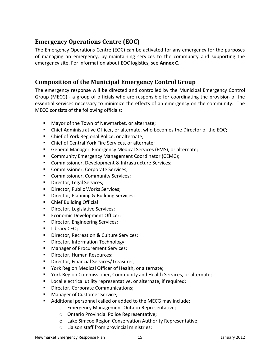# <span id="page-14-0"></span>**Emergency Operations Centre (EOC)**

The Emergency Operations Centre (EOC) can be activated for any emergency for the purposes of managing an emergency, by maintaining services to the community and supporting the emergency site. For information about EOC logistics, see **Annex C.**

## <span id="page-14-1"></span>**Composition of the Municipal Emergency Control Group**

The emergency response will be directed and controlled by the Municipal Emergency Control Group (MECG) - a group of officials who are responsible for coordinating the provision of the essential services necessary to minimize the effects of an emergency on the community. The MECG consists of the following officials:

- Mayor of the Town of Newmarket, or alternate;
- **EXECHIFF** Chief Administrative Officer, or alternate, who becomes the Director of the EOC;
- Chief of York Regional Police, or alternate;
- Chief of Central York Fire Services, or alternate;
- General Manager, Emergency Medical Services (EMS), or alternate;
- **Community Emergency Management Coordinator (CEMC);**
- **Commissioner, Development & Infrastructure Services;**
- **Commissioner, Corporate Services;**
- **EXECOMMISSIONER, Community Services;**
- Director, Legal Services;
- **Director, Public Works Services;**
- **Director, Planning & Building Services;**
- Chief Building Official
- **Director, Legislative Services;**
- **Economic Development Officer;**
- **Director, Engineering Services;**
- **Library CEO;**
- **Director, Recreation & Culture Services;**
- **Director, Information Technology;**
- **Manager of Procurement Services;**
- **Director, Human Resources;**
- **Director, Financial Services/Treasurer;**
- York Region Medical Officer of Health, or alternate;
- York Region Commissioner, Community and Health Services, or alternate;
- **Local electrical utility representative, or alternate, if required;**
- **Director, Corporate Communications;**
- **Manager of Customer Service;**
- Additional personnel called or added to the MECG may include:
	- o Emergency Management Ontario Representative;
	- o Ontario Provincial Police Representative;
	- o Lake Simcoe Region Conservation Authority Representative;
	- o Liaison staff from provincial ministries;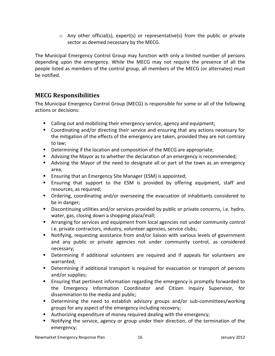$\circ$  Any other official(s), expert(s) or representative(s) from the public or private sector as deemed necessary by the MECG.

The Municipal Emergency Control Group may function with only a limited number of persons depending upon the emergency. While the MECG may not require the presence of all the people listed as members of the control group, all members of the MECG (or alternates) must be notified.

## <span id="page-15-0"></span>**MECG Responsibilities**

The Municipal Emergency Control Group (MECG) is responsible for some or all of the following actions or decisions:

- Calling out and mobilizing their emergency service, agency and equipment;
- Coordinating and/or directing their service and ensuring that any actions necessary for the mitigation of the effects of the emergency are taken, provided they are not contrary to law;
- **Determining if the location and composition of the MECG are appropriate;**
- Advising the Mayor as to whether the declaration of an emergency is recommended;
- Advising the Mayor of the need to designate all or part of the town as an emergency area;
- Ensuring that an Emergency Site Manager (ESM) is appointed;
- Ensuring that support to the ESM is provided by offering equipment, staff and resources, as required;
- Ordering, coordinating and/or overseeing the evacuation of inhabitants considered to be in danger;
- **Discontinuing utilities and/or services provided by public or private concerns, i.e. hydro,** water, gas, closing down a shopping plaza/mall;
- **EXT** Arranging for services and equipment from local agencies not under community control i.e. private contractors, industry, volunteer agencies, service clubs;
- Notifying, requesting assistance from and/or liaison with various levels of government and any public or private agencies not under community control, as considered necessary;
- Determining if additional volunteers are required and if appeals for volunteers are warranted;
- **Determining if additional transport is required for evacuation or transport of persons** and/or supplies;
- **Ensuring that pertinent information regarding the emergency is promptly forwarded to** the Emergency Information Coordinator and Citizen Inquiry Supervisor, for dissemination to the media and public;
- Determining the need to establish advisory groups and/or sub-committees/working groups for any aspect of the emergency including recovery;
- Authorizing expenditure of money required dealing with the emergency;
- Notifying the service, agency or group under their direction, of the termination of the emergency;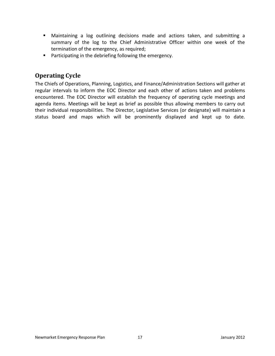- Maintaining a log outlining decisions made and actions taken, and submitting a summary of the log to the Chief Administrative Officer within one week of the termination of the emergency, as required;
- **Participating in the debriefing following the emergency.**

# <span id="page-16-0"></span>**Operating Cycle**

<span id="page-16-1"></span>The Chiefs of Operations, Planning, Logistics, and Finance/Administration Sections will gather at regular intervals to inform the EOC Director and each other of actions taken and problems encountered. The EOC Director will establish the frequency of operating cycle meetings and agenda items. Meetings will be kept as brief as possible thus allowing members to carry out their individual responsibilities. The Director, Legislative Services (or designate) will maintain a status board and maps which will be prominently displayed and kept up to date.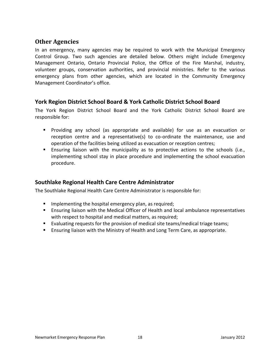## **Other Agencies**

In an emergency, many agencies may be required to work with the Municipal Emergency Control Group. Two such agencies are detailed below. Others might include Emergency Management Ontario, Ontario Provincial Police, the Office of the Fire Marshal, industry, volunteer groups, conservation authorities, and provincial ministries. Refer to the various emergency plans from other agencies, which are located in the Community Emergency Management Coordinator's office.

## **York Region District School Board & York Catholic District School Board**

The York Region District School Board and the York Catholic District School Board are responsible for:

- Providing any school (as appropriate and available) for use as an evacuation or reception centre and a representative(s) to co-ordinate the maintenance, use and operation of the facilities being utilized as evacuation or reception centres;
- Ensuring liaison with the municipality as to protective actions to the schools (i.e., implementing school stay in place procedure and implementing the school evacuation procedure.

#### **Southlake Regional Health Care Centre Administrator**

The Southlake Regional Health Care Centre Administrator is responsible for:

- $\blacksquare$  Implementing the hospital emergency plan, as required;
- Ensuring liaison with the Medical Officer of Health and local ambulance representatives with respect to hospital and medical matters, as required;
- Evaluating requests for the provision of medical site teams/medical triage teams;
- <span id="page-17-0"></span>Ensuring liaison with the Ministry of Health and Long Term Care, as appropriate.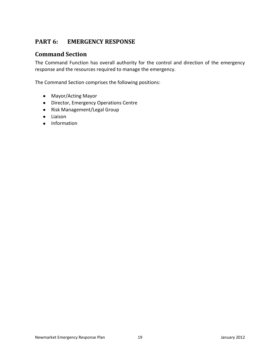# **PART 6: EMERGENCY RESPONSE**

## <span id="page-18-0"></span>**Command Section**

The Command Function has overall authority for the control and direction of the emergency response and the resources required to manage the emergency.

The Command Section comprises the following positions:

- Mayor/Acting Mayor
- Director, Emergency Operations Centre
- Risk Management/Legal Group
- Liaison
- Information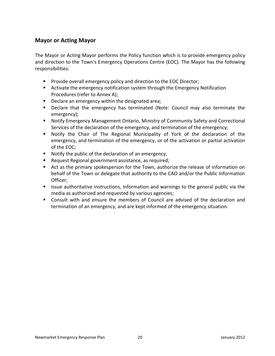#### **Mayor or Acting Mayor**

The Mayor or Acting Mayor performs the Policy function which is to provide emergency policy and direction to the Town's Emergency Operations Centre (EOC). The Mayor has the following responsibilities:

- **Provide overall emergency policy and direction to the EOC Director;**
- Activate the emergency notification system through the Emergency Notification Procedures (refer to Annex A);
- Declare an emergency within the designated area;
- Declare that the emergency has terminated (Note: Council may also terminate the emergency);
- Notify Emergency Management Ontario, Ministry of Community Safety and Correctional Services of the declaration of the emergency, and termination of the emergency;
- Notify the Chair of The Regional Municipality of York of the declaration of the emergency, and termination of the emergency, or of the activation or partial activation of the EOC;
- Notify the public of the declaration of an emergency;
- Request Regional government assistance, as required;
- Act as the primary spokesperson for the Town, authorize the release of information on behalf of the Town or delegate that authority to the CAO and/or the Public Information Officer;
- **If Its** issue authoritative instructions, information and warnings to the general public via the media as authorized and requested by various agencies;
- Consult with and ensure the members of Council are advised of the declaration and termination of an emergency, and are kept informed of the emergency situation.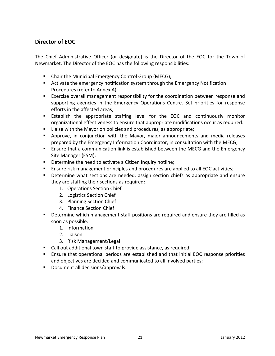## **Director of EOC**

The Chief Administrative Officer (or designate) is the Director of the EOC for the Town of Newmarket. The Director of the EOC has the following responsibilities:

- **Chair the Municipal Emergency Control Group (MECG);**
- Activate the emergency notification system through the Emergency Notification Procedures (refer to Annex A);
- Exercise overall management responsibility for the coordination between response and supporting agencies in the Emergency Operations Centre. Set priorities for response efforts in the affected areas;
- Establish the appropriate staffing level for the EOC and continuously monitor organizational effectiveness to ensure that appropriate modifications occur as required.
- Liaise with the Mayor on policies and procedures, as appropriate;
- Approve, in conjunction with the Mayor, major announcements and media releases prepared by the Emergency Information Coordinator, in consultation with the MECG;
- Ensure that a communication link is established between the MECG and the Emergency Site Manager (ESM);
- **Determine the need to activate a Citizen Inquiry hotline;**
- Ensure risk management principles and procedures are applied to all EOC activities;
- **Determine what sections are needed, assign section chiefs as appropriate and ensure** they are staffing their sections as required:
	- 1. Operations Section Chief
	- 2. Logistics Section Chief
	- 3. Planning Section Chief
	- 4. Finance Section Chief
- **•** Determine which management staff positions are required and ensure they are filled as soon as possible:
	- 1. Information
	- 2. Liaison
	- 3. Risk Management/Legal
- Call out additional town staff to provide assistance, as required;
- Ensure that operational periods are established and that initial EOC response priorities and objectives are decided and communicated to all involved parties;
- **Document all decisions/approvals.**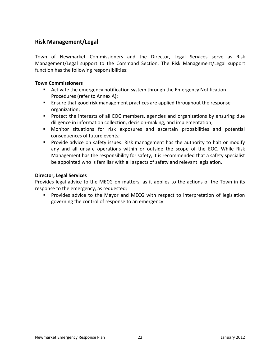### **Risk Management/Legal**

Town of Newmarket Commissioners and the Director, Legal Services serve as Risk Management/Legal support to the Command Section. The Risk Management/Legal support function has the following responsibilities:

#### **Town Commissioners**

- Activate the emergency notification system through the Emergency Notification Procedures (refer to Annex A);
- **E** Ensure that good risk management practices are applied throughout the response organization;
- **Protect the interests of all EOC members, agencies and organizations by ensuring due** diligence in information collection, decision-making, and implementation;
- Monitor situations for risk exposures and ascertain probabilities and potential consequences of future events;
- **Provide advice on safety issues. Risk management has the authority to halt or modify** any and all unsafe operations within or outside the scope of the EOC. While Risk Management has the responsibility for safety, it is recommended that a safety specialist be appointed who is familiar with all aspects of safety and relevant legislation.

#### **Director, Legal Services**

Provides legal advice to the MECG on matters, as it applies to the actions of the Town in its response to the emergency, as requested;

**Provides advice to the Mayor and MECG with respect to interpretation of legislation** governing the control of response to an emergency.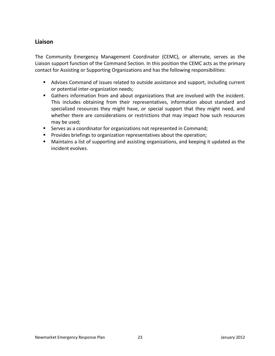#### **Liaison**

The Community Emergency Management Coordinator (CEMC), or alternate, serves as the Liaison support function of the Command Section. In this position the CEMC acts as the primary contact for Assisting or Supporting Organizations and has the following responsibilities:

- Advises Command of issues related to outside assistance and support, including current or potential inter-organization needs;
- Gathers information from and about organizations that are involved with the incident. This includes obtaining from their representatives, information about standard and specialized resources they might have, or special support that they might need, and whether there are considerations or restrictions that may impact how such resources may be used;
- Serves as a coordinator for organizations not represented in Command;
- **Provides briefings to organization representatives about the operation;**
- Maintains a list of supporting and assisting organizations, and keeping it updated as the incident evolves.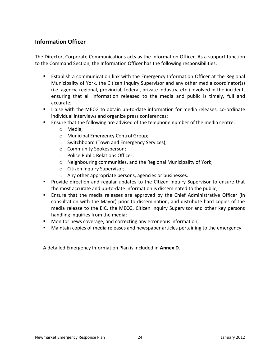## **Information Officer**

The Director, Corporate Communications acts as the Information Officer. As a support function to the Command Section, the Information Officer has the following responsibilities:

- **E** Establish a communication link with the Emergency Information Officer at the Regional Municipality of York, the Citizen Inquiry Supervisor and any other media coordinator(s) (i.e. agency, regional, provincial, federal, private industry, etc.) involved in the incident, ensuring that all information released to the media and public is timely, full and accurate;
- Liaise with the MECG to obtain up-to-date information for media releases, co-ordinate individual interviews and organize press conferences;
- Ensure that the following are advised of the telephone number of the media centre:
	- o Media;
	- o Municipal Emergency Control Group;
	- o Switchboard (Town and Emergency Services);
	- o Community Spokesperson;
	- o Police Public Relations Officer;
	- o Neighbouring communities, and the Regional Municipality of York;
	- o Citizen Inquiry Supervisor;
	- o Any other appropriate persons, agencies or businesses.
- **Provide direction and regular updates to the Citizen Inquiry Supervisor to ensure that** the most accurate and up-to-date information is disseminated to the public;
- Ensure that the media releases are approved by the Chief Administrative Officer (in consultation with the Mayor) prior to dissemination, and distribute hard copies of the media release to the EIC, the MECG, Citizen Inquiry Supervisor and other key persons handling inquiries from the media;
- **Monitor news coverage, and correcting any erroneous information;**
- Maintain copies of media releases and newspaper articles pertaining to the emergency.

A detailed Emergency Information Plan is included in **Annex D**.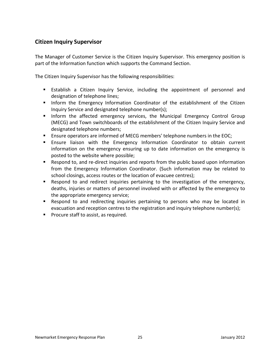## **Citizen Inquiry Supervisor**

The Manager of Customer Service is the Citizen Inquiry Supervisor. This emergency position is part of the Information function which supports the Command Section.

The Citizen Inquiry Supervisor has the following responsibilities:

- Establish a Citizen Inquiry Service, including the appointment of personnel and designation of telephone lines;
- **Inform the Emergency Information Coordinator of the establishment of the Citizen** Inquiry Service and designated telephone number(s);
- **Inform the affected emergency services, the Municipal Emergency Control Group** (MECG) and Town switchboards of the establishment of the Citizen Inquiry Service and designated telephone numbers;
- Ensure operators are informed of MECG members' telephone numbers in the EOC;
- **Ensure liaison with the Emergency Information Coordinator to obtain current** information on the emergency ensuring up to date information on the emergency is posted to the website where possible;
- Respond to, and re-direct inquiries and reports from the public based upon information from the Emergency Information Coordinator. (Such information may be related to school closings, access routes or the location of evacuee centres);
- Respond to and redirect inquiries pertaining to the investigation of the emergency, deaths, injuries or matters of personnel involved with or affected by the emergency to the appropriate emergency service;
- Respond to and redirecting inquiries pertaining to persons who may be located in evacuation and reception centres to the registration and inquiry telephone number(s);
- **Procure staff to assist, as required.**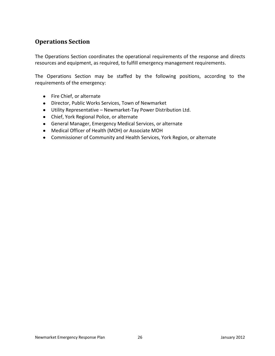## <span id="page-25-0"></span>**Operations Section**

The Operations Section coordinates the operational requirements of the response and directs resources and equipment, as required, to fulfill emergency management requirements.

The Operations Section may be staffed by the following positions, according to the requirements of the emergency:

- Fire Chief, or alternate
- Director, Public Works Services, Town of Newmarket
- Utility Representative Newmarket-Tay Power Distribution Ltd.
- Chief, York Regional Police, or alternate
- General Manager, Emergency Medical Services, or alternate
- Medical Officer of Health (MOH) or Associate MOH
- Commissioner of Community and Health Services, York Region, or alternate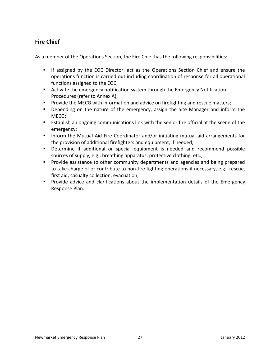## **Fire Chief**

As a member of the Operations Section, the Fire Chief has the following responsibilities:

- If assigned by the EOC Director, act as the Operations Section Chief and ensure the operations function is carried out including coordination of response for all operational functions assigned to the EOC;
- Activate the emergency notification system through the Emergency Notification Procedures (refer to Annex A);
- **Provide the MECG with information and advice on firefighting and rescue matters;**
- **Depending on the nature of the emergency, assign the Site Manager and inform the** MECG;
- Establish an ongoing communications link with the senior fire official at the scene of the emergency;
- **Inform the Mutual Aid Fire Coordinator and/or initiating mutual aid arrangements for** the provision of additional firefighters and equipment, if needed;
- Determine if additional or special equipment is needed and recommend possible sources of supply, e.g., breathing apparatus, protective clothing; etc.;
- **Provide assistance to other community departments and agencies and being prepared** to take charge of or contribute to non-fire fighting operations if necessary, e.g., rescue, first aid, casualty collection, evacuation;
- **Provide advice and clarifications about the implementation details of the Emergency** Response Plan.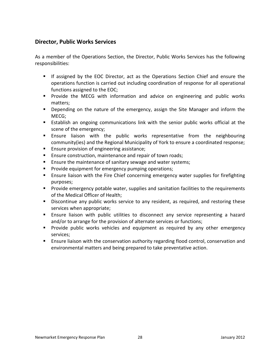#### **Director, Public Works Services**

As a member of the Operations Section, the Director, Public Works Services has the following responsibilities:

- **If assigned by the EOC Director, act as the Operations Section Chief and ensure the** operations function is carried out including coordination of response for all operational functions assigned to the EOC;
- **Provide the MECG with information and advice on engineering and public works** matters;
- **Depending on the nature of the emergency, assign the Site Manager and inform the** MECG;
- Establish an ongoing communications link with the senior public works official at the scene of the emergency;
- **Ensure liaison with the public works representative from the neighbouring** community(ies) and the Regional Municipality of York to ensure a coordinated response;
- **Ensure provision of engineering assistance;**
- **Ensure construction, maintenance and repair of town roads;**
- **Ensure the maintenance of sanitary sewage and water systems;**
- Provide equipment for emergency pumping operations;
- **Ensure liaison with the Fire Chief concerning emergency water supplies for firefighting** purposes;
- Provide emergency potable water, supplies and sanitation facilities to the requirements of the Medical Officer of Health;
- **Discontinue any public works service to any resident, as required, and restoring these** services when appropriate;
- Ensure liaison with public utilities to disconnect any service representing a hazard and/or to arrange for the provision of alternate services or functions;
- Provide public works vehicles and equipment as required by any other emergency services;
- Ensure liaison with the conservation authority regarding flood control, conservation and environmental matters and being prepared to take preventative action.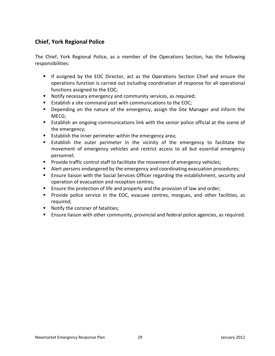## **Chief, York Regional Police**

The Chief, York Regional Police, as a member of the Operations Section, has the following responsibilities:

- **F** If assigned by the EOC Director, act as the Operations Section Chief and ensure the operations function is carried out including coordination of response for all operational functions assigned to the EOC;
- **Notify necessary emergency and community services, as required;**
- Establish a site command post with communications to the EOC;
- Depending on the nature of the emergency, assign the Site Manager and inform the MECG;
- **Establish an ongoing communications link with the senior police official at the scene of** the emergency;
- **Establish the inner perimeter within the emergency area;**
- Establish the outer perimeter in the vicinity of the emergency to facilitate the movement of emergency vehicles and restrict access to all but essential emergency personnel;
- **Provide traffic control staff to facilitate the movement of emergency vehicles;**
- Alert persons endangered by the emergency and coordinating evacuation procedures;
- Ensure liaison with the Social Services Officer regarding the establishment, security and operation of evacuation and reception centres;
- **E** Ensure the protection of life and property and the provision of law and order;
- **Provide police service in the EOC, evacuee centres, morgues, and other facilities, as** required;
- **Notify the coroner of fatalities;**
- Ensure liaison with other community, provincial and federal police agencies, as required.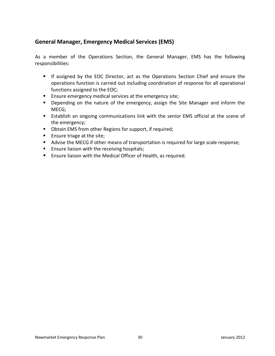## **General Manager, Emergency Medical Services (EMS)**

As a member of the Operations Section, the General Manager, EMS has the following responsibilities:

- **F** If assigned by the EOC Director, act as the Operations Section Chief and ensure the operations function is carried out including coordination of response for all operational functions assigned to the EOC;
- **Ensure emergency medical services at the emergency site;**
- **Depending on the nature of the emergency, assign the Site Manager and inform the** MECG;
- **Establish an ongoing communications link with the senior EMS official at the scene of** the emergency;
- Obtain EMS from other Regions for support, if required;
- **Ensure triage at the site;**
- Advise the MECG if other means of transportation is required for large scale response;
- **Ensure liaison with the receiving hospitals;**
- **Ensure liaison with the Medical Officer of Health, as required.**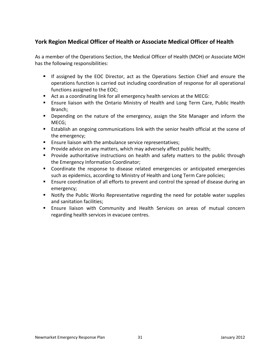## **York Region Medical Officer of Health or Associate Medical Officer of Health**

As a member of the Operations Section, the Medical Officer of Health (MOH) or Associate MOH has the following responsibilities:

- **F** If assigned by the EOC Director, act as the Operations Section Chief and ensure the operations function is carried out including coordination of response for all operational functions assigned to the EOC;
- Act as a coordinating link for all emergency health services at the MECG:
- **Ensure liaison with the Ontario Ministry of Health and Long Term Care, Public Health** Branch;
- **Depending on the nature of the emergency, assign the Site Manager and inform the** MECG;
- **Establish an ongoing communications link with the senior health official at the scene of** the emergency;
- **E** Ensure liaison with the ambulance service representatives;
- Provide advice on any matters, which may adversely affect public health;
- **Provide authoritative instructions on health and safety matters to the public through** the Emergency Information Coordinator;
- Coordinate the response to disease related emergencies or anticipated emergencies such as epidemics, according to Ministry of Health and Long Term Care policies;
- Ensure coordination of all efforts to prevent and control the spread of disease during an emergency;
- **Notify the Public Works Representative regarding the need for potable water supplies** and sanitation facilities;
- Ensure liaison with Community and Health Services on areas of mutual concern regarding health services in evacuee centres.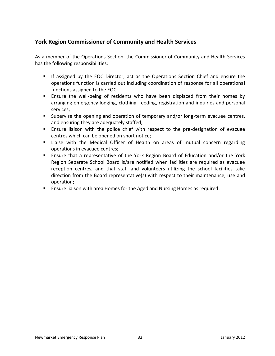## **York Region Commissioner of Community and Health Services**

As a member of the Operations Section, the Commissioner of Community and Health Services has the following responsibilities:

- **If assigned by the EOC Director, act as the Operations Section Chief and ensure the** operations function is carried out including coordination of response for all operational functions assigned to the EOC;
- Ensure the well-being of residents who have been displaced from their homes by arranging emergency lodging, clothing, feeding, registration and inquiries and personal services;
- **Supervise the opening and operation of temporary and/or long-term evacuee centres,** and ensuring they are adequately staffed;
- Ensure liaison with the police chief with respect to the pre-designation of evacuee centres which can be opened on short notice;
- Liaise with the Medical Officer of Health on areas of mutual concern regarding operations in evacuee centres;
- Ensure that a representative of the York Region Board of Education and/or the York Region Separate School Board is/are notified when facilities are required as evacuee reception centres, and that staff and volunteers utilizing the school facilities take direction from the Board representative(s) with respect to their maintenance, use and operation;
- Ensure liaison with area Homes for the Aged and Nursing Homes as required.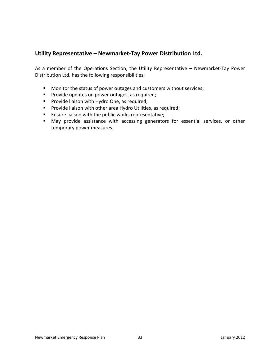#### **Utility Representative – Newmarket-Tay Power Distribution Ltd.**

As a member of the Operations Section, the Utility Representative – Newmarket-Tay Power Distribution Ltd. has the following responsibilities:

- **Monitor the status of power outages and customers without services;**
- **Provide updates on power outages, as required;**
- **Provide liaison with Hydro One, as required;**
- **Provide liaison with other area Hydro Utilities, as required;**
- **Ensure liaison with the public works representative;**
- May provide assistance with accessing generators for essential services, or other temporary power measures.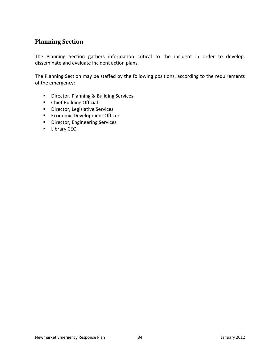## <span id="page-33-0"></span>**Planning Section**

The Planning Section gathers information critical to the incident in order to develop, disseminate and evaluate incident action plans.

The Planning Section may be staffed by the following positions, according to the requirements of the emergency:

- **E** Director, Planning & Building Services
- Chief Building Official
- **Director, Legislative Services**
- **Economic Development Officer**
- **•** Director, Engineering Services
- **Library CEO**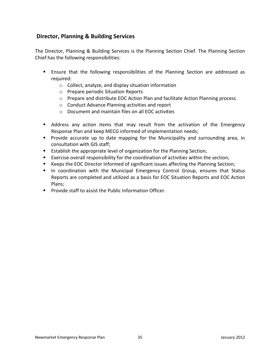## **Director, Planning & Building Services**

The Director, Planning & Building Services is the Planning Section Chief. The Planning Section Chief has the following responsibilities:

- Ensure that the following responsibilities of the Planning Section are addressed as required:
	- o Collect, analyze, and display situation information
	- o Prepare periodic Situation Reports
	- o Prepare and distribute EOC Action Plan and facilitate Action Planning process
	- o Conduct Advance Planning activities and report
	- o Document and maintain files on all EOC activities
- Address any action items that may result from the activation of the Emergency Response Plan and keep MECG informed of implementation needs;
- **Provide accurate up to date mapping for the Municipality and surrounding area, in** consultation with GIS staff;
- **Establish the appropriate level of organization for the Planning Section;**
- Exercise overall responsibility for the coordination of activities within the section;
- Keeps the EOC Director informed of significant issues affecting the Planning Section;
- In coordination with the Municipal Emergency Control Group, ensures that Status Reports are completed and utilized as a basis for EOC Situation Reports and EOC Action Plans;
- **Provide staff to assist the Public Information Officer.**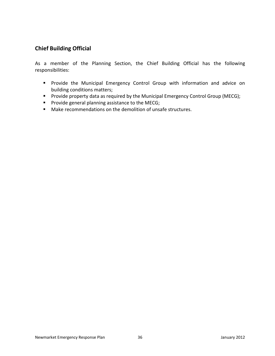## **Chief Building Official**

As a member of the Planning Section, the Chief Building Official has the following responsibilities:

- **Provide the Municipal Emergency Control Group with information and advice on** building conditions matters;
- **Provide property data as required by the Municipal Emergency Control Group (MECG);**
- **Provide general planning assistance to the MECG;**
- Make recommendations on the demolition of unsafe structures.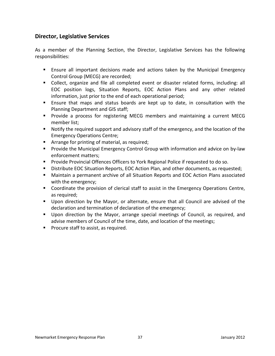#### **Director, Legislative Services**

As a member of the Planning Section, the Director, Legislative Services has the following responsibilities:

- Ensure all important decisions made and actions taken by the Municipal Emergency Control Group (MECG) are recorded;
- Collect, organize and file all completed event or disaster related forms, including: all EOC position logs, Situation Reports, EOC Action Plans and any other related information, just prior to the end of each operational period;
- Ensure that maps and status boards are kept up to date, in consultation with the Planning Department and GIS staff;
- **Provide a process for registering MECG members and maintaining a current MECG** member list;
- Notify the required support and advisory staff of the emergency, and the location of the Emergency Operations Centre;
- **EXTERG** Arrange for printing of material, as required;
- **Provide the Municipal Emergency Control Group with information and advice on by-law** enforcement matters;
- **Provide Provincial Offences Officers to York Regional Police if requested to do so.**
- Distribute EOC Situation Reports, EOC Action Plan, and other documents, as requested;
- Maintain a permanent archive of all Situation Reports and EOC Action Plans associated with the emergency;
- Coordinate the provision of clerical staff to assist in the Emergency Operations Centre, as required;
- Upon direction by the Mayor, or alternate, ensure that all Council are advised of the declaration and termination of declaration of the emergency;
- Upon direction by the Mayor, arrange special meetings of Council, as required, and advise members of Council of the time, date, and location of the meetings;
- **Procure staff to assist, as required.**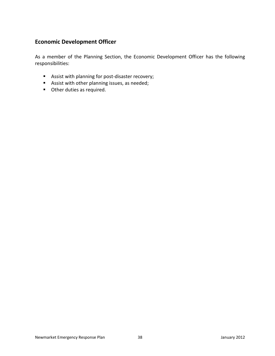## **Economic Development Officer**

As a member of the Planning Section, the Economic Development Officer has the following responsibilities:

- Assist with planning for post-disaster recovery;
- Assist with other planning issues, as needed;
- **Other duties as required.**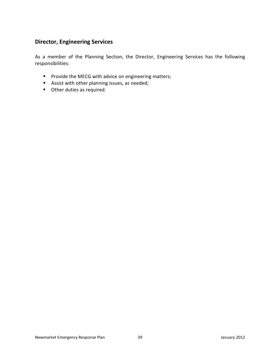### **Director, Engineering Services**

As a member of the Planning Section, the Director, Engineering Services has the following responsibilities:

- **Provide the MECG with advice on engineering matters;**
- Assist with other planning issues, as needed;
- **Other duties as required.**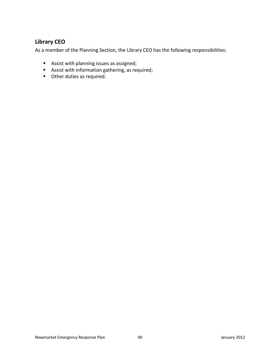## **Library CEO**

As a member of the Planning Section, the Library CEO has the following responsibilities:

- Assist with planning issues as assigned;
- Assist with information gathering, as required;
- **Other duties as required.**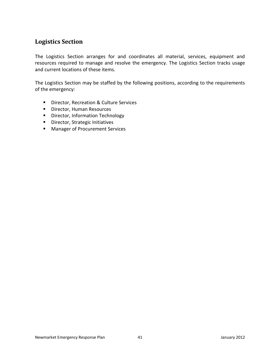## <span id="page-40-0"></span>**Logistics Section**

The Logistics Section arranges for and coordinates all material, services, equipment and resources required to manage and resolve the emergency. The Logistics Section tracks usage and current locations of these items.

The Logistics Section may be staffed by the following positions, according to the requirements of the emergency:

- **Director, Recreation & Culture Services**
- **Director, Human Resources**
- **•** Director, Information Technology
- **Director, Strategic Initiatives**
- **Manager of Procurement Services**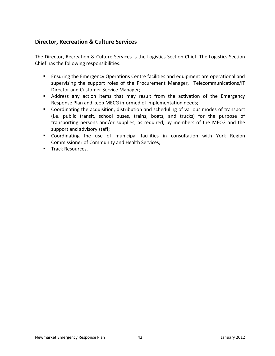## **Director, Recreation & Culture Services**

The Director, Recreation & Culture Services is the Logistics Section Chief. The Logistics Section Chief has the following responsibilities:

- **Ensuring the Emergency Operations Centre facilities and equipment are operational and** supervising the support roles of the Procurement Manager, Telecommunications/IT Director and Customer Service Manager;
- Address any action items that may result from the activation of the Emergency Response Plan and keep MECG informed of implementation needs;
- Coordinating the acquisition, distribution and scheduling of various modes of transport (i.e. public transit, school buses, trains, boats, and trucks) for the purpose of transporting persons and/or supplies, as required, by members of the MECG and the support and advisory staff;
- Coordinating the use of municipal facilities in consultation with York Region Commissioner of Community and Health Services;
- **Track Resources.**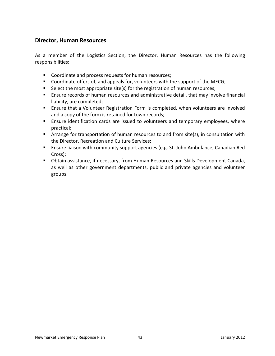#### **Director, Human Resources**

As a member of the Logistics Section, the Director, Human Resources has the following responsibilities:

- **Coordinate and process requests for human resources;**
- Coordinate offers of, and appeals for, volunteers with the support of the MECG;
- **Select the most appropriate site(s) for the registration of human resources;**
- Ensure records of human resources and administrative detail, that may involve financial liability, are completed;
- Ensure that a Volunteer Registration Form is completed, when volunteers are involved and a copy of the form is retained for town records;
- Ensure identification cards are issued to volunteers and temporary employees, where practical;
- **EXT** Arrange for transportation of human resources to and from site(s), in consultation with the Director, Recreation and Culture Services;
- **E** Ensure liaison with community support agencies (e.g. St. John Ambulance, Canadian Red Cross);
- Obtain assistance, if necessary, from Human Resources and Skills Development Canada, as well as other government departments, public and private agencies and volunteer groups.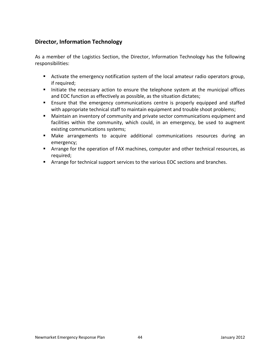## **Director, Information Technology**

As a member of the Logistics Section, the Director, Information Technology has the following responsibilities:

- Activate the emergency notification system of the local amateur radio operators group, if required;
- Initiate the necessary action to ensure the telephone system at the municipal offices and EOC function as effectively as possible, as the situation dictates;
- **Ensure that the emergency communications centre is properly equipped and staffed** with appropriate technical staff to maintain equipment and trouble shoot problems;
- Maintain an inventory of community and private sector communications equipment and facilities within the community, which could, in an emergency, be used to augment existing communications systems;
- Make arrangements to acquire additional communications resources during an emergency;
- Arrange for the operation of FAX machines, computer and other technical resources, as required;
- Arrange for technical support services to the various EOC sections and branches.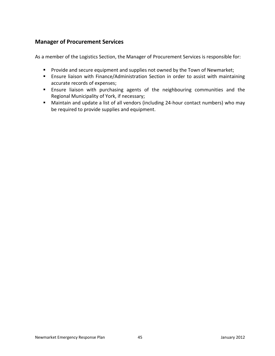## **Manager of Procurement Services**

As a member of the Logistics Section, the Manager of Procurement Services is responsible for:

- **Provide and secure equipment and supplies not owned by the Town of Newmarket;**
- **Ensure liaison with Finance/Administration Section in order to assist with maintaining** accurate records of expenses;
- Ensure liaison with purchasing agents of the neighbouring communities and the Regional Municipality of York, if necessary;
- Maintain and update a list of all vendors (including 24-hour contact numbers) who may be required to provide supplies and equipment.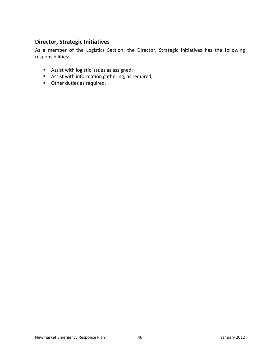### **Director, Strategic Initiatives**

As a member of the Logistics Section, the Director, Strategic Initiatives has the following responsibilities:

- Assist with logistic issues as assigned;
- Assist with information gathering, as required;
- **Other duties as required.**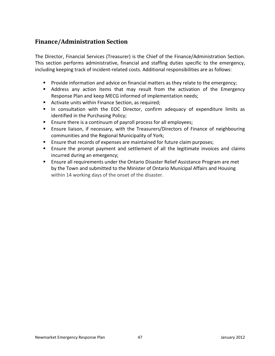# <span id="page-46-0"></span>**Finance/Administration Section**

The Director, Financial Services (Treasurer) is the Chief of the Finance/Administration Section. This section performs administrative, financial and staffing duties specific to the emergency, including keeping track of incident-related costs. Additional responsibilities are as follows:

- **Provide information and advice on financial matters as they relate to the emergency;**
- Address any action items that may result from the activation of the Emergency Response Plan and keep MECG informed of implementation needs;
- **Activate units within Finance Section, as required;**
- In consultation with the EOC Director, confirm adequacy of expenditure limits as identified in the Purchasing Policy;
- **Ensure there is a continuum of payroll process for all employees;**
- Ensure liaison, if necessary, with the Treasurers/Directors of Finance of neighbouring communities and the Regional Municipality of York;
- **Ensure that records of expenses are maintained for future claim purposes;**
- Ensure the prompt payment and settlement of all the legitimate invoices and claims incurred during an emergency;
- **Ensure all requirements under the Ontario Disaster Relief Assistance Program are met** by the Town and submitted to the Minister of Ontario Municipal Affairs and Housing within 14 working days of the onset of the disaster.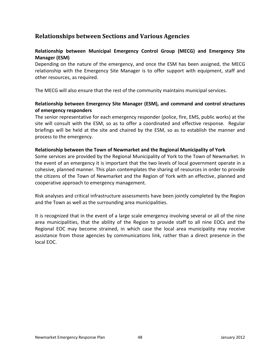## **Relationships between Sections and Various Agencies**

#### **Relationship between Municipal Emergency Control Group (MECG) and Emergency Site Manager (ESM)**

Depending on the nature of the emergency, and once the ESM has been assigned, the MECG relationship with the Emergency Site Manager is to offer support with equipment, staff and other resources, as required.

The MECG will also ensure that the rest of the community maintains municipal services.

#### **Relationship between Emergency Site Manager (ESM), and command and control structures of emergency responders**

The senior representative for each emergency responder (police, fire, EMS, public works) at the site will consult with the ESM, so as to offer a coordinated and effective response. Regular briefings will be held at the site and chaired by the ESM, so as to establish the manner and process to the emergency.

#### **Relationship between the Town of Newmarket and the Regional Municipality of York**

Some services are provided by the Regional Municipality of York to the Town of Newmarket. In the event of an emergency it is important that the two levels of local government operate in a cohesive, planned manner. This plan contemplates the sharing of resources in order to provide the citizens of the Town of Newmarket and the Region of York with an effective, planned and cooperative approach to emergency management.

Risk analyses and critical infrastructure assessments have been jointly completed by the Region and the Town as well as the surrounding area municipalities.

It is recognized that in the event of a large scale emergency involving several or all of the nine area municipalities, that the ability of the Region to provide staff to all nine EOCs and the Regional EOC may become strained, in which case the local area municipality may receive assistance from those agencies by communications link, rather than a direct presence in the local EOC.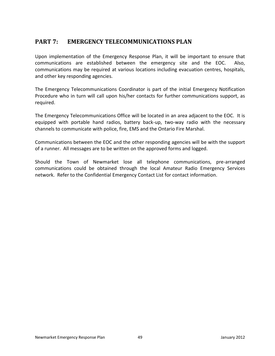# <span id="page-48-0"></span>**PART 7: EMERGENCY TELECOMMUNICATIONS PLAN**

Upon implementation of the Emergency Response Plan, it will be important to ensure that communications are established between the emergency site and the EOC. Also, communications may be required at various locations including evacuation centres, hospitals, and other key responding agencies.

The Emergency Telecommunications Coordinator is part of the initial Emergency Notification Procedure who in turn will call upon his/her contacts for further communications support, as required.

The Emergency Telecommunications Office will be located in an area adjacent to the EOC. It is equipped with portable hand radios, battery back-up, two-way radio with the necessary channels to communicate with police, fire, EMS and the Ontario Fire Marshal.

Communications between the EOC and the other responding agencies will be with the support of a runner. All messages are to be written on the approved forms and logged.

Should the Town of Newmarket lose all telephone communications, pre-arranged communications could be obtained through the local Amateur Radio Emergency Services network. Refer to the Confidential Emergency Contact List for contact information.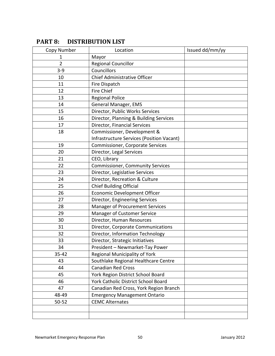| Copy Number | Location                                         | Issued dd/mm/yy |
|-------------|--------------------------------------------------|-----------------|
| 1           | Mayor                                            |                 |
| 2           | <b>Regional Councillor</b>                       |                 |
| $3 - 9$     | Councillors                                      |                 |
| 10          | <b>Chief Administrative Officer</b>              |                 |
| 11          | Fire Dispatch                                    |                 |
| 12          | <b>Fire Chief</b>                                |                 |
| 13          | <b>Regional Police</b>                           |                 |
| 14          | General Manager, EMS                             |                 |
| 15          | Director, Public Works Services                  |                 |
| 16          | Director, Planning & Building Services           |                 |
| 17          | Director, Financial Services                     |                 |
| 18          | Commissioner, Development &                      |                 |
|             | <b>Infrastructure Services (Position Vacant)</b> |                 |
| 19          | <b>Commissioner, Corporate Services</b>          |                 |
| 20          | Director, Legal Services                         |                 |
| 21          | CEO, Library                                     |                 |
| 22          | <b>Commissioner, Community Services</b>          |                 |
| 23          | Director, Legislative Services                   |                 |
| 24          | Director, Recreation & Culture                   |                 |
| 25          | Chief Building Official                          |                 |
| 26          | <b>Economic Development Officer</b>              |                 |
| 27          | Director, Engineering Services                   |                 |
| 28          | Manager of Procurement Services                  |                 |
| 29          | Manager of Customer Service                      |                 |
| 30          | Director, Human Resources                        |                 |
| 31          | Director, Corporate Communications               |                 |
| 32          | Director, Information Technology                 |                 |
| 33          | Director, Strategic Initiatives                  |                 |
| 34          | President - Newmarket-Tay Power                  |                 |
| 35-42       | Regional Municipality of York                    |                 |
| 43          | Southlake Regional Healthcare Centre             |                 |
| 44          | <b>Canadian Red Cross</b>                        |                 |
| 45          | York Region District School Board                |                 |
| 46          | York Catholic District School Board              |                 |
| 47          | Canadian Red Cross, York Region Branch           |                 |
| 48-49       | <b>Emergency Management Ontario</b>              |                 |
| $50 - 52$   | <b>CEMC Alternates</b>                           |                 |
|             |                                                  |                 |
|             |                                                  |                 |

# <span id="page-49-0"></span>**PART 8: DISTRIBUTION LIST**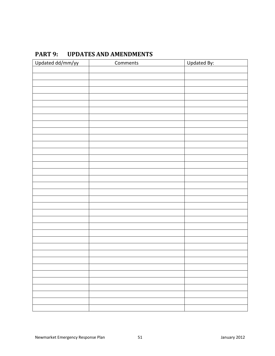<span id="page-50-0"></span>

| PART 9: | <b>UPDATES AND AMENDMENTS</b> |
|---------|-------------------------------|
|---------|-------------------------------|

| Updated dd/mm/yy | Comments | Updated By: |
|------------------|----------|-------------|
|                  |          |             |
|                  |          |             |
|                  |          |             |
|                  |          |             |
|                  |          |             |
|                  |          |             |
|                  |          |             |
|                  |          |             |
|                  |          |             |
|                  |          |             |
|                  |          |             |
|                  |          |             |
|                  |          |             |
|                  |          |             |
|                  |          |             |
|                  |          |             |
|                  |          |             |
|                  |          |             |
|                  |          |             |
|                  |          |             |
|                  |          |             |
|                  |          |             |
|                  |          |             |
|                  |          |             |
|                  |          |             |
|                  |          |             |
|                  |          |             |
|                  |          |             |
|                  |          |             |
|                  |          |             |
|                  |          |             |
|                  |          |             |
|                  |          |             |
|                  |          |             |
|                  |          |             |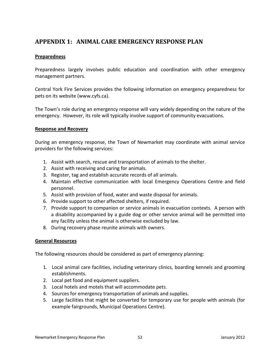## <span id="page-51-0"></span>**APPENDIX 1: ANIMAL CARE EMERGENCY RESPONSE PLAN**

#### **Preparedness**

Preparedness largely involves public education and coordination with other emergency management partners.

Central York Fire Services provides the following information on emergency preparedness for pets on its website (www.cyfs.ca).

The Town's role during an emergency response will vary widely depending on the nature of the emergency. However, its role will typically involve support of community evacuations.

#### **Response and Recovery**

During an emergency response, the Town of Newmarket may coordinate with animal service providers for the following services:

- 1. Assist with search, rescue and transportation of animals to the shelter.
- 2. Assist with receiving and caring for animals.
- 3. Register, tag and establish accurate records of all animals.
- 4. Maintain effective communication with local Emergency Operations Centre and field personnel.
- 5. Assist with provision of food, water and waste disposal for animals.
- 6. Provide support to other affected shelters, if required.
- 7. Provide support to companion or service animals in evacuation contexts. A person with a disability accompanied by a guide dog or other service animal will be permitted into any facility unless the animal is otherwise excluded by law.
- 8. During recovery phase reunite animals with owners.

#### **General Resources**

The following resources should be considered as part of emergency planning:

- 1. Local animal care facilities, including veterinary clinics, boarding kennels and grooming establishments.
- 2. Local pet food and equipment suppliers.
- 3. Local hotels and motels that will accommodate pets.
- 4. Sources for emergency transportation of animals and supplies.
- 5. Large facilities that might be converted for temporary use for people with animals (for example fairgrounds, Municipal Operations Centre).